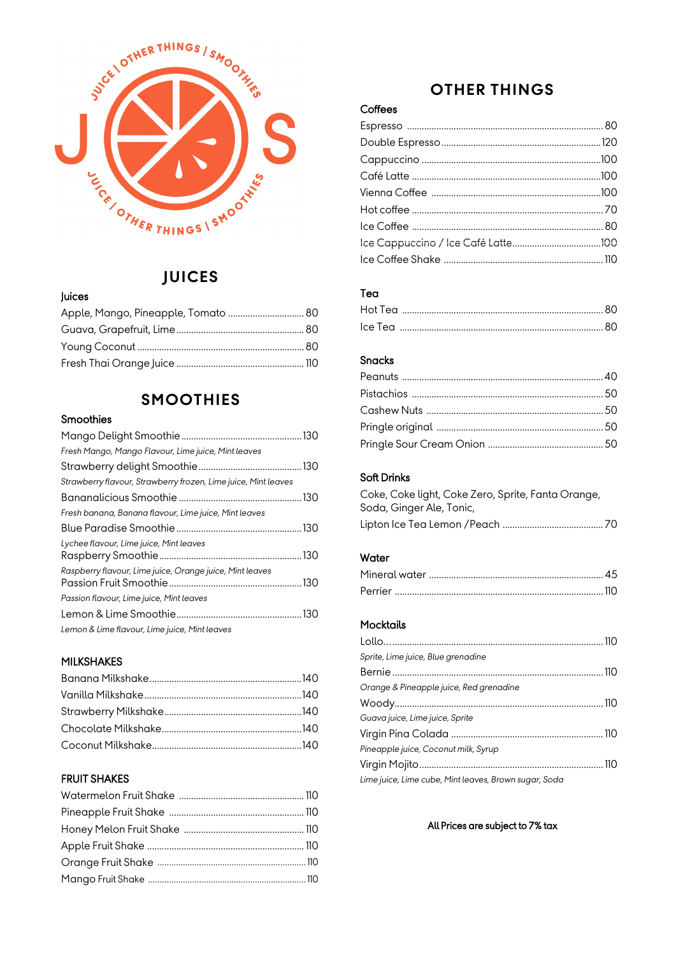

### **JUICES**

#### Juices

### **SMOOTHIES**

### Smoothies

| Fresh Mango, Mango Flavour, Lime juice, Mint leaves            |  |
|----------------------------------------------------------------|--|
|                                                                |  |
| Strawberry flavour, Strawberry frozen, Lime juice, Mint leaves |  |
|                                                                |  |
| Fresh banana, Banana flavour, Lime juice, Mint leaves          |  |
|                                                                |  |
| Lychee flavour, Lime juice, Mint leaves                        |  |
| Raspberry flavour, Lime juice, Orange juice, Mint leaves       |  |
| Passion flavour, Lime juice, Mint leaves                       |  |
|                                                                |  |
| Lemon & Lime flavour, Lime juice, Mint leaves                  |  |

#### MILKSHAKES

### FRUIT SHAKES

# **OTHER THINGS**

### **Coffees**

### Tea

| Hot Tea |  |
|---------|--|
| Ice Tea |  |

#### Snacks

#### Soft Drinks

Coke, Coke light, Coke Zero, Sprite, Fanta Orange, Soda, Ginger Ale, Tonic, Lipton Ice Tea Lemon /Peach ......................................... 70

#### **Water**

#### **Mocktails**

| Sprite, Lime juice, Blue grenadine                    |  |
|-------------------------------------------------------|--|
|                                                       |  |
| Orange & Pineapple juice, Red grenadine               |  |
|                                                       |  |
| Guava juice, Lime juice, Sprite                       |  |
|                                                       |  |
| Pineapple juice, Coconut milk, Syrup                  |  |
|                                                       |  |
| Lime juice, Lime cube, Mint leaves, Brown sugar, Soda |  |

#### All Prices are subject to 7% tax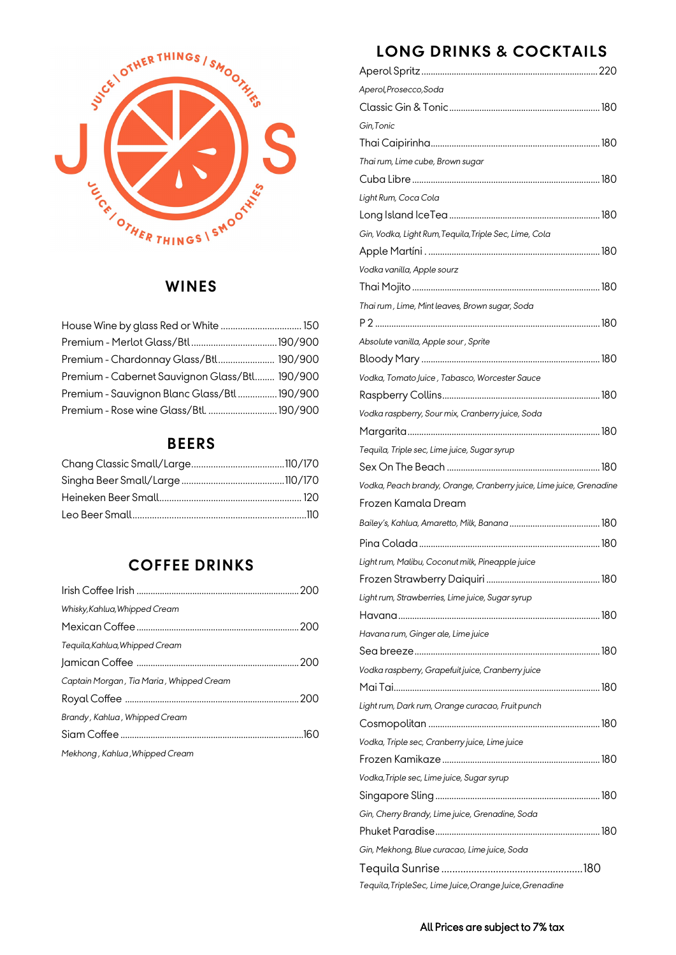

# **WINES**

| House Wine by glass Red or White  150          |  |
|------------------------------------------------|--|
|                                                |  |
| Premium - Chardonnay Glass/Btl 190/900         |  |
| Premium - Cabernet Sauvignon Glass/Btl 190/900 |  |
| Premium - Sauvignon Blanc Glass/Btl190/900     |  |
|                                                |  |

# **BEERS**

# **COFFEE DRINKS**

| Whisky, Kahlua, Whipped Cream            |  |
|------------------------------------------|--|
|                                          |  |
| Tequila, Kahlua, Whipped Cream           |  |
|                                          |  |
| Captain Morgan, Tia Maria, Whipped Cream |  |
|                                          |  |
| Brandy, Kahlua, Whipped Cream            |  |
|                                          |  |
| Mekhong, Kahlua, Whipped Cream           |  |

# **LONG DRINKS & COCKTAILS**

| Aperol, Prosecco, Soda                                              |  |
|---------------------------------------------------------------------|--|
|                                                                     |  |
| Gin,Tonic                                                           |  |
|                                                                     |  |
| Thai rum, Lime cube, Brown sugar                                    |  |
|                                                                     |  |
| Light Rum, Coca Cola                                                |  |
|                                                                     |  |
| Gin, Vodka, Light Rum, Tequila, Triple Sec, Lime, Cola              |  |
|                                                                     |  |
| Vodka vanilla, Apple sourz                                          |  |
|                                                                     |  |
| Thai rum , Lime, Mint leaves, Brown sugar, Soda                     |  |
|                                                                     |  |
| Absolute vanilla, Apple sour , Sprite                               |  |
|                                                                     |  |
| Vodka, Tomato Juice, Tabasco, Worcester Sauce                       |  |
|                                                                     |  |
| Vodka raspberry, Sour mix, Cranberry juice, Soda                    |  |
|                                                                     |  |
| Tequila, Triple sec, Lime juice, Sugar syrup                        |  |
|                                                                     |  |
| Vodka, Peach brandy, Orange, Cranberry juice, Lime juice, Grenadine |  |
| Frozen Kamala Dream                                                 |  |
|                                                                     |  |
|                                                                     |  |
| Light rum, Malibu, Coconut milk, Pineapple juice                    |  |
|                                                                     |  |
| Light rum, Strawberries, Lime juice, Sugar syrup                    |  |
|                                                                     |  |
| Havana rum, Ginger ale, Lime juice                                  |  |
|                                                                     |  |
| Vodka raspberry, Grapefuit juice, Cranberry juice                   |  |
|                                                                     |  |
| Light rum, Dark rum, Orange curacao, Fruit punch                    |  |
|                                                                     |  |
| Vodka, Triple sec, Cranberry juice, Lime juice                      |  |
|                                                                     |  |
| Vodka, Triple sec, Lime juice, Sugar syrup                          |  |
|                                                                     |  |
| Gin, Cherry Brandy, Lime juice, Grenadine, Soda                     |  |
|                                                                     |  |
| Gin, Mekhong, Blue curacao, Lime juice, Soda                        |  |
|                                                                     |  |
| Tequila, TripleSec, Lime Juice, Orange Juice, Grenadine             |  |